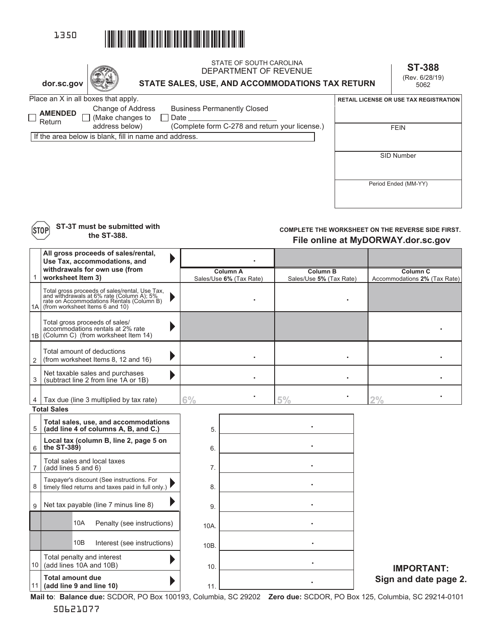



**Mail to**: **Balance due:** SCDOR, PO Box 100193, Columbia, SC 29202 **Zero due:** SCDOR, PO Box 125, Columbia, SC 29214-0101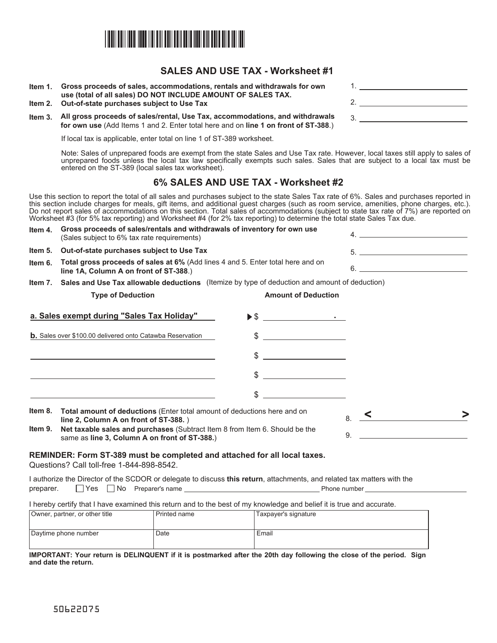

## **SALES AND USE TAX - Worksheet #1**

| Item 1. Gross proceeds of sales, accommodations, rentals and withdrawals for own |
|----------------------------------------------------------------------------------|
| use (total of all sales) DO NOT INCLUDE AMOUNT OF SALES TAX.                     |
| Item 2. Out-of-state purchases subject to Use Tax                                |

**Item 3. All gross proceeds of sales/rental, Use Tax, accommodations, and withdrawals for own use** (Add Items 1 and 2. Enter total here and on **line 1 on front of ST-388**.)

If local tax is applicable, enter total on line 1 of ST-389 worksheet.

Note: Sales of unprepared foods are exempt from the state Sales and Use Tax rate. However, local taxes still apply to sales of unprepared foods unless the local tax law specifically exempts such sales. Sales that are subject to a local tax must be entered on the ST-389 (local sales tax worksheet).

## **6% SALES AND USE TAX - Worksheet #2**

Use this section to report the total of all sales and purchases subject to the state Sales Tax rate of 6%. Sales and purchases reported in this section include charges for meals, gift items, and additional guest charges (such as room service, amenities, phone charges, etc.). Do not report sales of accommodations on this section. Total sales of accommodations (subject to state tax rate of 7%) are reported on Worksheet #3 (for 5% tax reporting) and Worksheet #4 (for 2% tax reporting) to determine the total state Sales Tax due.

| Item 4.            | Gross proceeds of sales/rentals and withdrawals of inventory for own use<br>(Sales subject to 6% tax rate requirements)                                                                                                                                  | $\mathbf{4}$ .                                                                                                                                                                                                                                                                                                      |                                                      |  |
|--------------------|----------------------------------------------------------------------------------------------------------------------------------------------------------------------------------------------------------------------------------------------------------|---------------------------------------------------------------------------------------------------------------------------------------------------------------------------------------------------------------------------------------------------------------------------------------------------------------------|------------------------------------------------------|--|
| ltem 5.            | Out-of-state purchases subject to Use Tax                                                                                                                                                                                                                |                                                                                                                                                                                                                                                                                                                     |                                                      |  |
| Item 6.            | Total gross proceeds of sales at 6% (Add lines 4 and 5. Enter total here and on<br>line 1A, Column A on front of ST-388.)                                                                                                                                | $6.$ $\overline{\phantom{a}}$                                                                                                                                                                                                                                                                                       |                                                      |  |
|                    | <b>Item 7.</b> Sales and Use Tax allowable deductions (Itemize by type of deduction and amount of deduction)                                                                                                                                             |                                                                                                                                                                                                                                                                                                                     |                                                      |  |
|                    | <b>Type of Deduction</b>                                                                                                                                                                                                                                 | <b>Amount of Deduction</b>                                                                                                                                                                                                                                                                                          |                                                      |  |
|                    | a. Sales exempt during "Sales Tax Holiday"                                                                                                                                                                                                               |                                                                                                                                                                                                                                                                                                                     |                                                      |  |
|                    | <b>b.</b> Sales over \$100.00 delivered onto Catawba Reservation                                                                                                                                                                                         | $\frac{1}{2}$ $\frac{1}{2}$ $\frac{1}{2}$ $\frac{1}{2}$ $\frac{1}{2}$ $\frac{1}{2}$ $\frac{1}{2}$ $\frac{1}{2}$ $\frac{1}{2}$ $\frac{1}{2}$ $\frac{1}{2}$ $\frac{1}{2}$ $\frac{1}{2}$ $\frac{1}{2}$ $\frac{1}{2}$ $\frac{1}{2}$ $\frac{1}{2}$ $\frac{1}{2}$ $\frac{1}{2}$ $\frac{1}{2}$ $\frac{1}{2}$ $\frac{1}{2}$ |                                                      |  |
|                    |                                                                                                                                                                                                                                                          | $\frac{1}{2}$ $\frac{1}{2}$ $\frac{1}{2}$ $\frac{1}{2}$ $\frac{1}{2}$ $\frac{1}{2}$ $\frac{1}{2}$ $\frac{1}{2}$ $\frac{1}{2}$ $\frac{1}{2}$ $\frac{1}{2}$ $\frac{1}{2}$ $\frac{1}{2}$ $\frac{1}{2}$ $\frac{1}{2}$ $\frac{1}{2}$ $\frac{1}{2}$ $\frac{1}{2}$ $\frac{1}{2}$ $\frac{1}{2}$ $\frac{1}{2}$ $\frac{1}{2}$ |                                                      |  |
|                    |                                                                                                                                                                                                                                                          | <u> 1980 - Jan Barbara Barbara, política establece</u>                                                                                                                                                                                                                                                              |                                                      |  |
|                    |                                                                                                                                                                                                                                                          | \$                                                                                                                                                                                                                                                                                                                  |                                                      |  |
| Item 8.<br>ltem 9. | <b>Total amount of deductions</b> (Enter total amount of deductions here and on<br>line 2, Column A on front of ST-388.)<br>Net taxable sales and purchases (Subtract Item 8 from Item 6. Should be the<br>same as line 3, Column A on front of ST-388.) |                                                                                                                                                                                                                                                                                                                     | <u>and the state of the state of the state</u><br>9. |  |

## **REMINDER: Form ST-389 must be completed and attached for all local taxes.**

Questions? Call toll-free 1-844-898-8542.

I authorize the Director of the SCDOR or delegate to discuss **this return**, attachments, and related tax matters with the preparer. The No Preparer's name Phone number

I hereby certify that I have examined this return and to the best of my knowledge and belief it is true and accurate.

| Owner, partner, or other title | Printed name | Taxpayer's signature |
|--------------------------------|--------------|----------------------|
| Daytime phone number           | Date         | Email                |

**IMPORTANT: Your return is DELINQUENT if it is postmarked after the 20th day following the close of the period. Sign and date the return.**